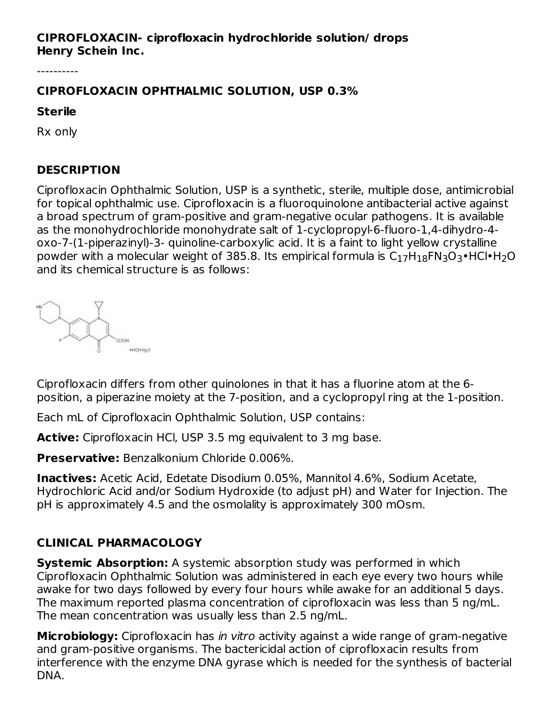#### **CIPROFLOXACIN- ciprofloxacin hydrochloride solution/ drops Henry Schein Inc.**

## **CIPROFLOXACIN OPHTHALMIC SOLUTION, USP 0.3%**

**Sterile**

Rx only

#### **DESCRIPTION**

Ciprofloxacin Ophthalmic Solution, USP is a synthetic, sterile, multiple dose, antimicrobial for topical ophthalmic use. Ciprofloxacin is a fluoroquinolone antibacterial active against a broad spectrum of gram-positive and gram-negative ocular pathogens. It is available as the monohydrochloride monohydrate salt of 1-cyclopropyl-6-fluoro-1,4-dihydro-4 oxo-7-(1-piperazinyl)-3- quinoline-carboxylic acid. It is a faint to light yellow crystalline powder with a molecular weight of 385.8. Its empirical formula is  $\mathsf{C}_{17}\mathsf{H}_{18}\mathsf{FN}_3\mathsf{O}_3\bullet\mathsf{HCl}\bullet\mathsf{H}_2\mathsf{O}$ and its chemical structure is as follows:



Ciprofloxacin differs from other quinolones in that it has a fluorine atom at the 6 position, a piperazine moiety at the 7-position, and a cyclopropyl ring at the 1-position.

Each mL of Ciprofloxacin Ophthalmic Solution, USP contains:

**Active:** Ciprofloxacin HCl, USP 3.5 mg equivalent to 3 mg base.

**Preservative:** Benzalkonium Chloride 0.006%.

**Inactives:** Acetic Acid, Edetate Disodium 0.05%, Mannitol 4.6%, Sodium Acetate, Hydrochloric Acid and/or Sodium Hydroxide (to adjust pH) and Water for Injection. The pH is approximately 4.5 and the osmolality is approximately 300 mOsm.

## **CLINICAL PHARMACOLOGY**

**Systemic Absorption:** A systemic absorption study was performed in which Ciprofloxacin Ophthalmic Solution was administered in each eye every two hours while awake for two days followed by every four hours while awake for an additional 5 days. The maximum reported plasma concentration of ciprofloxacin was less than 5 ng/mL. The mean concentration was usually less than 2.5 ng/mL.

**Microbiology:** Ciprofloxacin has in vitro activity against a wide range of gram-negative and gram-positive organisms. The bactericidal action of ciprofloxacin results from interference with the enzyme DNA gyrase which is needed for the synthesis of bacterial DNA.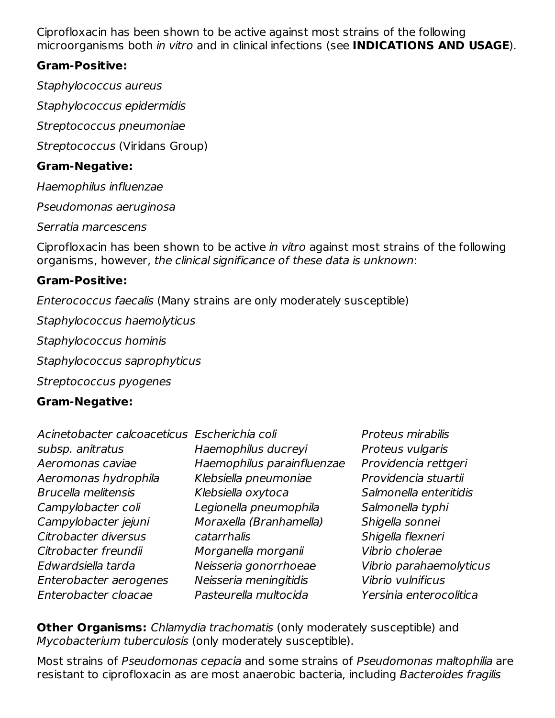Ciprofloxacin has been shown to be active against most strains of the following microorganisms both in vitro and in clinical infections (see **INDICATIONS AND USAGE**).

#### **Gram-Positive:**

Staphylococcus aureus Staphylococcus epidermidis

Streptococcus pneumoniae

Streptococcus (Viridans Group)

## **Gram-Negative:**

Haemophilus influenzae

Pseudomonas aeruginosa

Serratia marcescens

Ciprofloxacin has been shown to be active in vitro against most strains of the following organisms, however, the clinical significance of these data is unknown:

#### **Gram-Positive:**

Enterococcus faecalis (Many strains are only moderately susceptible)

Staphylococcus haemolyticus

Staphylococcus hominis

Staphylococcus saprophyticus

Streptococcus pyogenes

#### **Gram-Negative:**

| Acinetobacter calcoaceticus Escherichia coli |                            | <b>Proteus mirabilis</b> |
|----------------------------------------------|----------------------------|--------------------------|
| subsp. anitratus                             | Haemophilus ducreyi        | Proteus vulgaris         |
| Aeromonas caviae                             | Haemophilus parainfluenzae | Providencia rettgeri     |
| Aeromonas hydrophila                         | Klebsiella pneumoniae      | Providencia stuartii     |
| <b>Brucella melitensis</b>                   | Klebsiella oxytoca         | Salmonella enteritidis   |
| Campylobacter coli                           | Legionella pneumophila     | Salmonella typhi         |
| Campylobacter jejuni                         | Moraxella (Branhamella)    | Shigella sonnei          |
| Citrobacter diversus                         | catarrhalis                | Shigella flexneri        |
| Citrobacter freundii                         | Morganella morganii        | Vibrio cholerae          |
| Edwardsiella tarda                           | Neisseria gonorrhoeae      | Vibrio parahaemolyticus  |
| Enterobacter aerogenes                       | Neisseria meningitidis     | Vibrio vulnificus        |
| Enterobacter cloacae                         | Pasteurella multocida      | Yersinia enterocolitica  |

**Other Organisms:** Chlamydia trachomatis (only moderately susceptible) and Mycobacterium tuberculosis (only moderately susceptible).

Most strains of Pseudomonas cepacia and some strains of Pseudomonas maltophilia are resistant to ciprofloxacin as are most anaerobic bacteria, including Bacteroides fragilis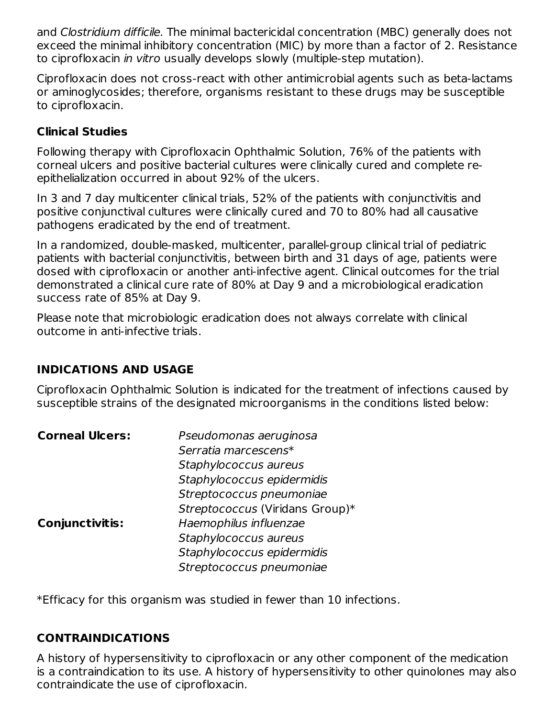and Clostridium difficile. The minimal bactericidal concentration (MBC) generally does not exceed the minimal inhibitory concentration (MIC) by more than a factor of 2. Resistance to ciprofloxacin in vitro usually develops slowly (multiple-step mutation).

Ciprofloxacin does not cross-react with other antimicrobial agents such as beta-lactams or aminoglycosides; therefore, organisms resistant to these drugs may be susceptible to ciprofloxacin.

## **Clinical Studies**

Following therapy with Ciprofloxacin Ophthalmic Solution, 76% of the patients with corneal ulcers and positive bacterial cultures were clinically cured and complete reepithelialization occurred in about 92% of the ulcers.

In 3 and 7 day multicenter clinical trials, 52% of the patients with conjunctivitis and positive conjunctival cultures were clinically cured and 70 to 80% had all causative pathogens eradicated by the end of treatment.

In a randomized, double-masked, multicenter, parallel-group clinical trial of pediatric patients with bacterial conjunctivitis, between birth and 31 days of age, patients were dosed with ciprofloxacin or another anti-infective agent. Clinical outcomes for the trial demonstrated a clinical cure rate of 80% at Day 9 and a microbiological eradication success rate of 85% at Day 9.

Please note that microbiologic eradication does not always correlate with clinical outcome in anti-infective trials.

## **INDICATIONS AND USAGE**

Ciprofloxacin Ophthalmic Solution is indicated for the treatment of infections caused by susceptible strains of the designated microorganisms in the conditions listed below:

| <b>Corneal Ulcers:</b> | Pseudomonas aeruginosa                        |  |  |  |
|------------------------|-----------------------------------------------|--|--|--|
|                        | Serratia marcescens*<br>Staphylococcus aureus |  |  |  |
|                        |                                               |  |  |  |
|                        | Staphylococcus epidermidis                    |  |  |  |
|                        | Streptococcus pneumoniae                      |  |  |  |
|                        | Streptococcus (Viridans Group)*               |  |  |  |
| <b>Conjunctivitis:</b> | Haemophilus influenzae                        |  |  |  |
|                        | Staphylococcus aureus                         |  |  |  |
|                        | Staphylococcus epidermidis                    |  |  |  |
|                        | Streptococcus pneumoniae                      |  |  |  |

\*Efficacy for this organism was studied in fewer than 10 infections.

## **CONTRAINDICATIONS**

A history of hypersensitivity to ciprofloxacin or any other component of the medication is a contraindication to its use. A history of hypersensitivity to other quinolones may also contraindicate the use of ciprofloxacin.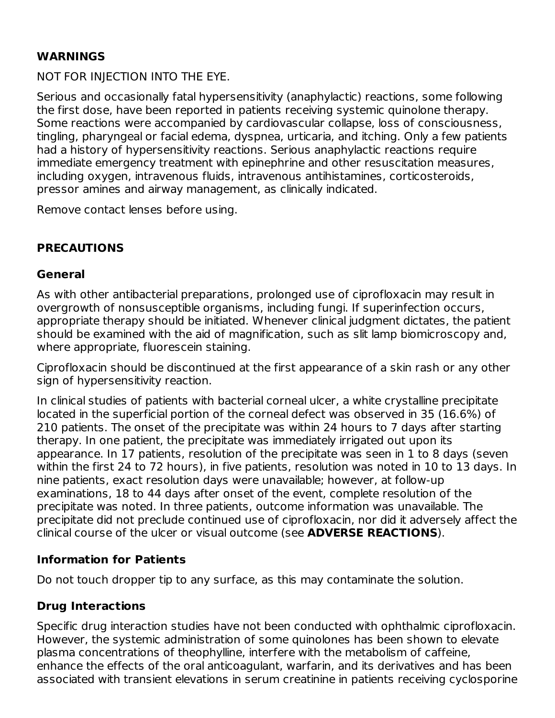## **WARNINGS**

NOT FOR INJECTION INTO THE EYE.

Serious and occasionally fatal hypersensitivity (anaphylactic) reactions, some following the first dose, have been reported in patients receiving systemic quinolone therapy. Some reactions were accompanied by cardiovascular collapse, loss of consciousness, tingling, pharyngeal or facial edema, dyspnea, urticaria, and itching. Only a few patients had a history of hypersensitivity reactions. Serious anaphylactic reactions require immediate emergency treatment with epinephrine and other resuscitation measures, including oxygen, intravenous fluids, intravenous antihistamines, corticosteroids, pressor amines and airway management, as clinically indicated.

Remove contact lenses before using.

## **PRECAUTIONS**

#### **General**

As with other antibacterial preparations, prolonged use of ciprofloxacin may result in overgrowth of nonsusceptible organisms, including fungi. If superinfection occurs, appropriate therapy should be initiated. Whenever clinical judgment dictates, the patient should be examined with the aid of magnification, such as slit lamp biomicroscopy and, where appropriate, fluorescein staining.

Ciprofloxacin should be discontinued at the first appearance of a skin rash or any other sign of hypersensitivity reaction.

In clinical studies of patients with bacterial corneal ulcer, a white crystalline precipitate located in the superficial portion of the corneal defect was observed in 35 (16.6%) of 210 patients. The onset of the precipitate was within 24 hours to 7 days after starting therapy. In one patient, the precipitate was immediately irrigated out upon its appearance. In 17 patients, resolution of the precipitate was seen in 1 to 8 days (seven within the first 24 to 72 hours), in five patients, resolution was noted in 10 to 13 days. In nine patients, exact resolution days were unavailable; however, at follow-up examinations, 18 to 44 days after onset of the event, complete resolution of the precipitate was noted. In three patients, outcome information was unavailable. The precipitate did not preclude continued use of ciprofloxacin, nor did it adversely affect the clinical course of the ulcer or visual outcome (see **ADVERSE REACTIONS**).

## **Information for Patients**

Do not touch dropper tip to any surface, as this may contaminate the solution.

## **Drug Interactions**

Specific drug interaction studies have not been conducted with ophthalmic ciprofloxacin. However, the systemic administration of some quinolones has been shown to elevate plasma concentrations of theophylline, interfere with the metabolism of caffeine, enhance the effects of the oral anticoagulant, warfarin, and its derivatives and has been associated with transient elevations in serum creatinine in patients receiving cyclosporine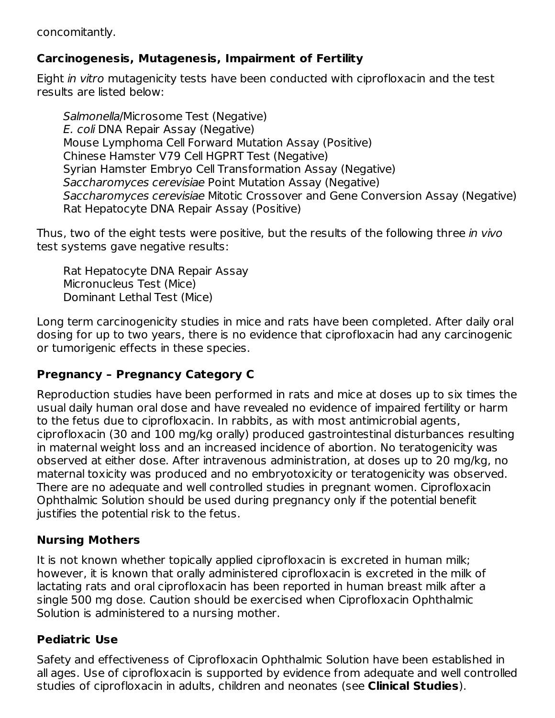concomitantly.

#### **Carcinogenesis, Mutagenesis, Impairment of Fertility**

Eight in vitro mutagenicity tests have been conducted with ciprofloxacin and the test results are listed below:

Salmonella/Microsome Test (Negative) E. coli DNA Repair Assay (Negative) Mouse Lymphoma Cell Forward Mutation Assay (Positive) Chinese Hamster V79 Cell HGPRT Test (Negative) Syrian Hamster Embryo Cell Transformation Assay (Negative) Saccharomyces cerevisiae Point Mutation Assay (Negative) Saccharomyces cerevisiae Mitotic Crossover and Gene Conversion Assay (Negative) Rat Hepatocyte DNA Repair Assay (Positive)

Thus, two of the eight tests were positive, but the results of the following three in vivo test systems gave negative results:

Rat Hepatocyte DNA Repair Assay Micronucleus Test (Mice) Dominant Lethal Test (Mice)

Long term carcinogenicity studies in mice and rats have been completed. After daily oral dosing for up to two years, there is no evidence that ciprofloxacin had any carcinogenic or tumorigenic effects in these species.

## **Pregnancy – Pregnancy Category C**

Reproduction studies have been performed in rats and mice at doses up to six times the usual daily human oral dose and have revealed no evidence of impaired fertility or harm to the fetus due to ciprofloxacin. In rabbits, as with most antimicrobial agents, ciprofloxacin (30 and 100 mg/kg orally) produced gastrointestinal disturbances resulting in maternal weight loss and an increased incidence of abortion. No teratogenicity was observed at either dose. After intravenous administration, at doses up to 20 mg/kg, no maternal toxicity was produced and no embryotoxicity or teratogenicity was observed. There are no adequate and well controlled studies in pregnant women. Ciprofloxacin Ophthalmic Solution should be used during pregnancy only if the potential benefit justifies the potential risk to the fetus.

#### **Nursing Mothers**

It is not known whether topically applied ciprofloxacin is excreted in human milk; however, it is known that orally administered ciprofloxacin is excreted in the milk of lactating rats and oral ciprofloxacin has been reported in human breast milk after a single 500 mg dose. Caution should be exercised when Ciprofloxacin Ophthalmic Solution is administered to a nursing mother.

#### **Pediatric Use**

Safety and effectiveness of Ciprofloxacin Ophthalmic Solution have been established in all ages. Use of ciprofloxacin is supported by evidence from adequate and well controlled studies of ciprofloxacin in adults, children and neonates (see **Clinical Studies**).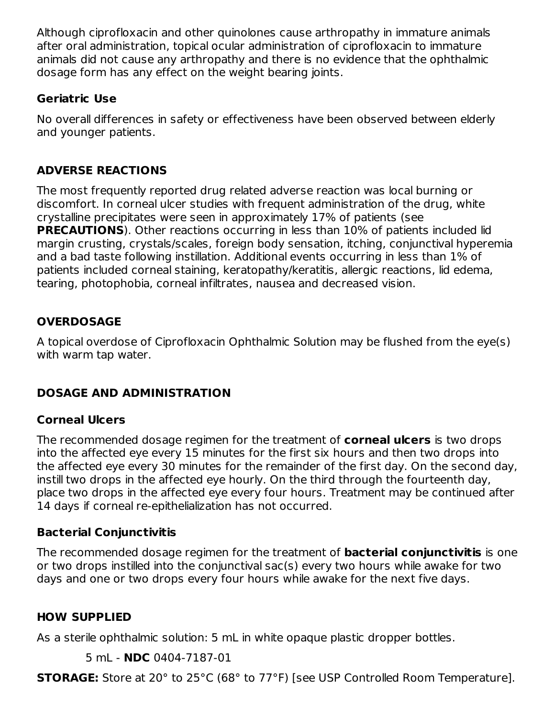Although ciprofloxacin and other quinolones cause arthropathy in immature animals after oral administration, topical ocular administration of ciprofloxacin to immature animals did not cause any arthropathy and there is no evidence that the ophthalmic dosage form has any effect on the weight bearing joints.

## **Geriatric Use**

No overall differences in safety or effectiveness have been observed between elderly and younger patients.

# **ADVERSE REACTIONS**

The most frequently reported drug related adverse reaction was local burning or discomfort. In corneal ulcer studies with frequent administration of the drug, white crystalline precipitates were seen in approximately 17% of patients (see **PRECAUTIONS**). Other reactions occurring in less than 10% of patients included lid margin crusting, crystals/scales, foreign body sensation, itching, conjunctival hyperemia and a bad taste following instillation. Additional events occurring in less than 1% of patients included corneal staining, keratopathy/keratitis, allergic reactions, lid edema, tearing, photophobia, corneal infiltrates, nausea and decreased vision.

# **OVERDOSAGE**

A topical overdose of Ciprofloxacin Ophthalmic Solution may be flushed from the eye(s) with warm tap water.

# **DOSAGE AND ADMINISTRATION**

# **Corneal Ulcers**

The recommended dosage regimen for the treatment of **corneal ulcers** is two drops into the affected eye every 15 minutes for the first six hours and then two drops into the affected eye every 30 minutes for the remainder of the first day. On the second day, instill two drops in the affected eye hourly. On the third through the fourteenth day, place two drops in the affected eye every four hours. Treatment may be continued after 14 days if corneal re-epithelialization has not occurred.

# **Bacterial Conjunctivitis**

The recommended dosage regimen for the treatment of **bacterial conjunctivitis** is one or two drops instilled into the conjunctival sac(s) every two hours while awake for two days and one or two drops every four hours while awake for the next five days.

# **HOW SUPPLIED**

As a sterile ophthalmic solution: 5 mL in white opaque plastic dropper bottles.

## 5 mL - **NDC** 0404-7187-01

**STORAGE:** Store at 20° to 25°C (68° to 77°F) [see USP Controlled Room Temperature].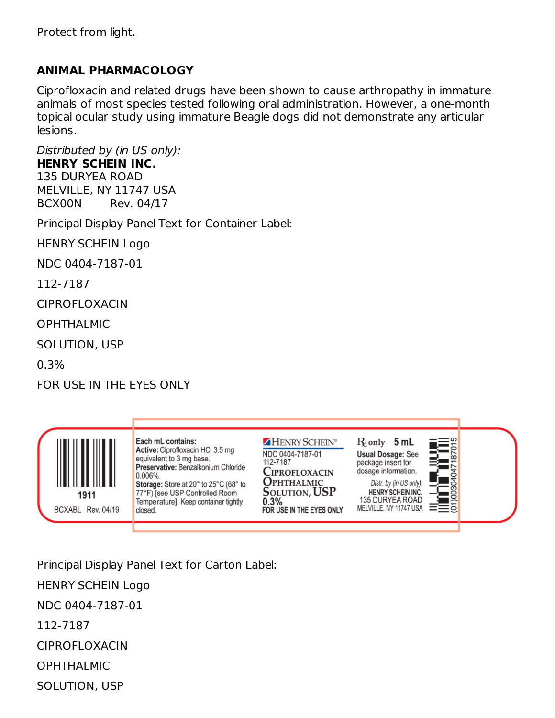Protect from light.

#### **ANIMAL PHARMACOLOGY**

Ciprofloxacin and related drugs have been shown to cause arthropathy in immature animals of most species tested following oral administration. However, a one-month topical ocular study using immature Beagle dogs did not demonstrate any articular lesions.

Distributed by (in US only): **HENRY SCHEIN INC.** 135 DURYEA ROAD MELVILLE, NY 11747 USA BCX00N Rev. 04/17

Principal Display Panel Text for Container Label:

HENRY SCHEIN Logo

NDC 0404-7187-01

112-7187

CIPROFLOXACIN

OPHTHALMIC

SOLUTION, USP

0.3%

FOR USE IN THE EYES ONLY



Principal Display Panel Text for Carton Label: HENRY SCHEIN Logo NDC 0404-7187-01 112-7187 CIPROFLOXACIN OPHTHALMIC SOLUTION, USP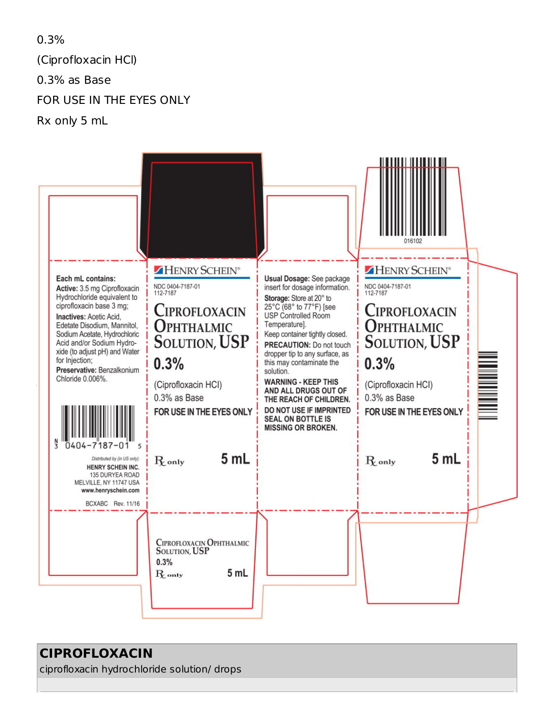#### 0.3%

(Ciprofloxacin HCl)

0.3% as Base

FOR USE IN THE EYES ONLY

Rx only 5 mL



# **CIPROFLOXACIN**

ciprofloxacin hydrochloride solution/ drops